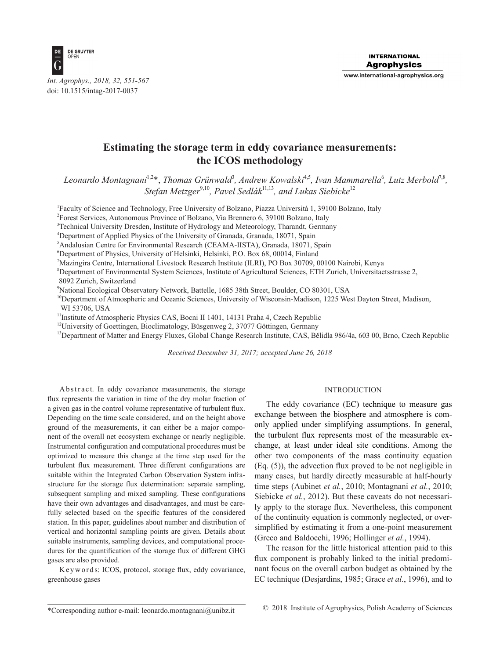

# **Estimating the storage term in eddy covariance measurements: the ICOS methodology**

Leonardo Montagnani<sup>1,2</sup>\*, Thomas Grünwald<sup>3</sup>, Andrew Kowalski<sup>4,5</sup>, Ivan Mammarella<sup>6</sup>, Lutz Merbold<sup>7,8</sup>, *Stefan Metzger*9,10*, Pavel Sedlák*11,13*, and Lukas Siebicke*<sup>12</sup>

<sup>1</sup>Faculty of Science and Technology, Free University of Bolzano, Piazza Universitá 1, 39100 Bolzano, Italy

2 Forest Services, Autonomous Province of Bolzano, Via Brennero 6, 39100 Bolzano, Italy

3 Technical University Dresden, Institute of Hydrology and Meteorology, Tharandt, Germany

4 Department of Applied Physics of the University of Granada, Granada, 18071, Spain

5 Andalusian Centre for Environmental Research (CEAMA-IISTA), Granada, 18071, Spain

6 Department of Physics, University of Helsinki, Helsinki, P.O. Box 68, 00014, Finland

7 Mazingira Centre, International Livestock Research Institute (ILRI), PO Box 30709, 00100 Nairobi, Kenya

8 Department of Environmental System Sciences, Institute of Agricultural Sciences, ETH Zurich, Universitaetsstrasse 2,

8092 Zurich, Switzerland

9 National Ecological Observatory Network, Battelle, 1685 38th Street, Boulder, CO 80301, USA

<sup>10</sup>Department of Atmospheric and Oceanic Sciences, University of Wisconsin-Madison, 1225 West Dayton Street, Madison, WI 53706, USA

<sup>11</sup>Institute of Atmospheric Physics CAS, Bocni II 1401, 14131 Praha 4, Czech Republic

<sup>12</sup>University of Goettingen, Bioclimatology, Büsgenweg 2, 37077 Göttingen, Germany

<sup>13</sup>Department of Matter and Energy Fluxes, Global Change Research Institute, CAS, Bělidla 986/4a, 603 00, Brno, Czech Republic

*Received December 31, 2017; accepted June 26, 2018*

Abstract. In eddy covariance measurements, the storage flux represents the variation in time of the dry molar fraction of a given gas in the control volume representative of turbulent flux. Depending on the time scale considered, and on the height above ground of the measurements, it can either be a major component of the overall net ecosystem exchange or nearly negligible. Instrumental configuration and computational procedures must be optimized to measure this change at the time step used for the turbulent flux measurement. Three different configurations are suitable within the Integrated Carbon Observation System infrastructure for the storage flux determination: separate sampling, subsequent sampling and mixed sampling. These configurations have their own advantages and disadvantages, and must be carefully selected based on the specific features of the considered station. In this paper, guidelines about number and distribution of vertical and horizontal sampling points are given. Details about suitable instruments, sampling devices, and computational procedures for the quantification of the storage flux of different GHG gases are also provided.

K e y w o r d s: ICOS, protocol, storage flux, eddy covariance, greenhouse gases

#### INTRODUCTION

The eddy covariance (EC) technique to measure gas exchange between the biosphere and atmosphere is comonly applied under simplifying assumptions. In general, the turbulent flux represents most of the measurable exchange, at least under ideal site conditions. Among the other two components of the mass continuity equation (Eq. (5)), the advection flux proved to be not negligible in many cases, but hardly directly measurable at half-hourly time steps (Aubinet *et al.*, 2010; Montagnani *et al.*, 2010; Siebicke *et al.*, 2012). But these caveats do not necessarily apply to the storage flux. Nevertheless, this component of the continuity equation is commonly neglected, or oversimplified by estimating it from a one-point measurement (Greco and Baldocchi, 1996; Hollinger *et al.*, 1994).

The reason for the little historical attention paid to this flux component is probably linked to the initial predominant focus on the overall carbon budget as obtained by the EC technique (Desjardins, 1985; Grace *et al.*, 1996), and to

<sup>\*</sup>Corresponding author e-mail: leonardo.montagnani@unibz.it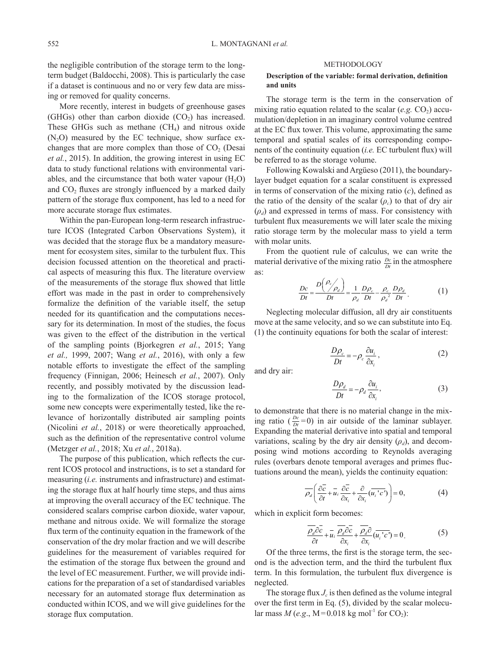the negligible contribution of the storage term to the longterm budget (Baldocchi, 2008). This is particularly the case if a dataset is continuous and no or very few data are missing or removed for quality concerns.

More recently, interest in budgets of greenhouse gases (GHGs) other than carbon dioxide  $(CO<sub>2</sub>)$  has increased. These GHGs such as methane  $(CH<sub>4</sub>)$  and nitrous oxide  $(N_2O)$  measured by the EC technique, show surface exchanges that are more complex than those of  $CO<sub>2</sub>$  (Desai *et al.*, 2015). In addition, the growing interest in using EC data to study functional relations with environmental variables, and the circumstance that both water vapour  $(H_2O)$ and  $CO<sub>2</sub>$  fluxes are strongly influenced by a marked daily pattern of the storage flux component, has led to a need for more accurate storage flux estimates.

Within the pan-European long-term research infrastructure ICOS (Integrated Carbon Observations System), it was decided that the storage flux be a mandatory measurement for ecosystem sites, similar to the turbulent flux. This decision focussed attention on the theoretical and practical aspects of measuring this flux. The literature overview of the measurements of the storage flux showed that little effort was made in the past in order to comprehensively formalize the definition of the variable itself, the setup needed for its quantification and the computations necessary for its determination. In most of the studies, the focus was given to the effect of the distribution in the vertical of the sampling points (Bjorkegren *et al.*, 2015; Yang *et al.,* 1999, 2007; Wang *et al.*, 2016), with only a few notable efforts to investigate the effect of the sampling frequency (Finnigan, 2006; Heinesch *et al.*, 2007). Only recently, and possibly motivated by the discussion leading to the formalization of the ICOS storage protocol, some new concepts were experimentally tested, like the relevance of horizontally distributed air sampling points (Nicolini *et al.*, 2018) or were theoretically approached, such as the definition of the representative control volume (Metzger *et al.*, 2018; Xu *et al.*, 2018a).

The purpose of this publication, which reflects the current ICOS protocol and instructions, is to set a standard for measuring (*i.e.* instruments and infrastructure) and estimating the storage flux at half hourly time steps, and thus aims at improving the overall accuracy of the EC technique. The considered scalars comprise carbon dioxide, water vapour, methane and nitrous oxide. We will formalize the storage flux term of the continuity equation in the framework of the conservation of the dry molar fraction and we will describe guidelines for the measurement of variables required for the estimation of the storage flux between the ground and the level of EC measurement. Further, we will provide indications for the preparation of a set of standardised variables necessary for an automated storage flux determination as conducted within ICOS, and we will give guidelines for the storage flux computation.

#### METHODOLOGY

### **Description of the variable: formal derivation, definition and units**

The storage term is the term in the conservation of mixing ratio equation related to the scalar  $(e.g. CO<sub>2</sub>)$  accumulation/depletion in an imaginary control volume centred at the EC flux tower. This volume, approximating the same temporal and spatial scales of its corresponding components of the continuity equation (*i.e.* EC turbulent flux) will be referred to as the storage volume.

Following Kowalski and Argüeso (2011), the boundarylayer budget equation for a scalar constituent is expressed in terms of conservation of the mixing ratio (*c*), defined as the ratio of the density of the scalar  $(\rho_c)$  to that of dry air  $(\rho_d)$  and expressed in terms of mass. For consistency with turbulent flux measurements we will later scale the mixing ratio storage term by the molecular mass to yield a term with molar units.

From the quotient rule of calculus, we can write the material derivative of the mixing ratio  $\frac{Dc}{Dt}$  in the atmosphere as:

$$
\frac{Dc}{Dt} = \frac{D\left(\frac{\rho_c}{\rho_d}\right)}{Dt} = \frac{1}{\rho_d} \frac{D\rho_c}{Dt} - \frac{\rho_c}{\rho_d^2} \frac{D\rho_d}{Dt} \,. \tag{1}
$$

Neglecting molecular diffusion, all dry air constituents move at the same velocity, and so we can substitute into Eq. (1) the continuity equations for both the scalar of interest:

$$
\frac{D\rho_c}{Dt} = -\rho_c \frac{\partial u_i}{\partial x_i},\qquad(2)
$$

and dry air:

$$
\frac{D\rho_d}{Dt} = -\rho_d \frac{\partial u_i}{\partial x_i},\tag{3}
$$

to demonstrate that there is no material change in the mixing ratio ( $\frac{Dc}{Dt}$  = 0) in air outside of the laminar sublayer. Expanding the material derivative into spatial and temporal variations, scaling by the dry air density  $(\rho_d)$ , and decomposing wind motions according to Reynolds averaging rules (overbars denote temporal averages and primes fluctuations around the mean), yields the continuity equation:

$$
\overline{\rho_d} \left( \frac{\partial \overline{c}}{\partial t} + \overline{u_i} \frac{\partial \overline{c}}{\partial x_i} + \frac{\partial}{\partial x_i} (\overline{u_i}^{\ \prime} c^{\prime}) \right) = 0, \tag{4}
$$

which in explicit form becomes:

$$
\frac{\overline{\rho_d}\partial \overline{c}}{\partial t} + \overline{u}_i \frac{\overline{\rho_d}\partial \overline{c}}{\partial x_i} + \frac{\overline{\rho_d}\partial}{\partial x_i} (\overline{u_i'c'}) = 0.
$$
 (5)

Of the three terms, the first is the storage term, the second is the advection term, and the third the turbulent flux term. In this formulation, the turbulent flux divergence is neglected.

The storage flux  $J_c$  is then defined as the volume integral over the first term in Eq. (5), divided by the scalar molecular mass  $M(e.g., M=0.018 \text{ kg mol}^{-1} \text{ for } CO_2)$ :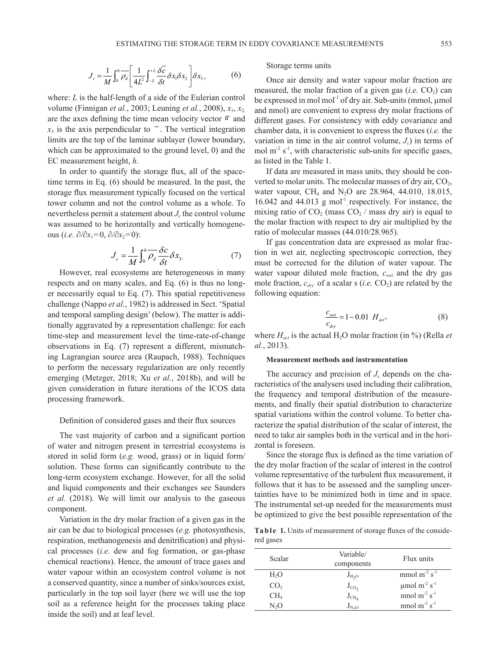$$
J_c = \frac{1}{M} \int_0^h \overline{\rho_d} \left[ \frac{1}{4L^2} \int_{-L}^{+L} \frac{\delta \overline{c}}{\delta t} \delta x_1 \delta x_2 \right] \delta x_3, \tag{6}
$$

where: *L* is the half-length of a side of the Eulerian control volume (Finnigan *et al.*, 2003; Leuning *et al.*, 2008), *x*1, *x*2, are the axes defining the time mean velocity vector  $\overline{u}$  and  $x_3$  is the axis perpendicular to  $\overline{\phantom{a}}$ . The vertical integration limits are the top of the laminar sublayer (lower boundary, which can be approximated to the ground level, 0) and the EC measurement height, *h*.

In order to quantify the storage flux, all of the spacetime terms in Eq. (6) should be measured. In the past, the storage flux measurement typically focused on the vertical tower column and not the control volume as a whole. To nevertheless permit a statement about  $J_c$  the control volume was assumed to be horizontally and vertically homogeneous (*i.e.*  $\partial/\partial x_1=0$ ,  $\partial/\partial x_2=0$ ):

$$
J_c = \frac{1}{M} \int_0^h \overline{\rho_d} \frac{\delta c}{\delta t} \delta x_3. \tag{7}
$$

However, real ecosystems are heterogeneous in many respects and on many scales, and Eq. (6) is thus no longer necessarily equal to Eq. (7). This spatial repetitiveness challenge (Nappo *et al.*, 1982) is addressed in Sect. 'Spatial and temporal sampling design' (below). The matter is additionally aggravated by a representation challenge: for each time-step and measurement level the time-rate-of-change observations in Eq. (7) represent a different, mismatching Lagrangian source area (Raupach, 1988). Techniques to perform the necessary regularization are only recently emerging (Metzger, 2018; Xu *et al.*, 2018b), and will be given consideration in future iterations of the ICOS data processing framework.

### Definition of considered gases and their flux sources

The vast majority of carbon and a significant portion of water and nitrogen present in terrestrial ecosystems is stored in solid form (*e.g.* wood, grass) or in liquid form/ solution. These forms can significantly contribute to the long-term ecosystem exchange. However, for all the solid and liquid components and their exchanges see Saunders *et al.* (2018). We will limit our analysis to the gaseous component.

Variation in the dry molar fraction of a given gas in the air can be due to biological processes (*e.g.* photosynthesis, respiration, methanogenesis and denitrification) and physical processes (*i.e.* dew and fog formation, or gas-phase chemical reactions). Hence, the amount of trace gases and water vapour within an ecosystem control volume is not a conserved quantity, since a number of sinks/sources exist, particularly in the top soil layer (here we will use the top soil as a reference height for the processes taking place inside the soil) and at leaf level.

#### Storage terms units

Once air density and water vapour molar fraction are measured, the molar fraction of a given gas  $(i.e. CO<sub>2</sub>)$  can be expressed in mol mol<sup>-1</sup> of dry air. Sub-units (mmol,  $\mu$ mol and nmol) are convenient to express dry molar fractions of different gases. For consistency with eddy covariance and chamber data, it is convenient to express the fluxes (*i.e.* the variation in time in the air control volume,  $J_c$ ) in terms of mol  $m<sup>2</sup>$  s<sup>-1</sup>, with characteristic sub-units for specific gases, as listed in the Table 1.

If data are measured in mass units, they should be converted to molar units. The molecular masses of dry air,  $CO<sub>2</sub>$ , water vapour, CH<sub>4</sub> and N<sub>2</sub>O are 28.964, 44.010, 18.015, 16.042 and 44.013  $g \text{ mol}^{-1}$ , respectively. For instance, the mixing ratio of  $CO<sub>2</sub>$  (mass  $CO<sub>2</sub>$  / mass dry air) is equal to the molar fraction with respect to dry air multiplied by the ratio of molecular masses (44.010/28.965).

If gas concentration data are expressed as molar fraction in wet air, neglecting spectroscopic correction, they must be corrected for the dilution of water vapour. The water vapour diluted mole fraction, *cwet* and the dry gas mole fraction,  $c_{\text{dry}}$  of a scalar s (*i.e.* CO<sub>2</sub>) are related by the following equation:

$$
\frac{c_{wet}}{c_{dry}} = 1 - 0.01 \ H_{act}, \tag{8}
$$

where  $H_{act}$  is the actual H<sub>2</sub>O molar fraction (in %) (Rella *et al.*, 2013).

#### **Measurement methods and instrumentation**

The accuracy and precision of  $J_c$  depends on the characteristics of the analysers used including their calibration, the frequency and temporal distribution of the measurements, and finally their spatial distribution to characterize spatial variations within the control volume. To better characterize the spatial distribution of the scalar of interest, the need to take air samples both in the vertical and in the horizontal is foreseen.

Since the storage flux is defined as the time variation of the dry molar fraction of the scalar of interest in the control volume representative of the turbulent flux measurement, it follows that it has to be assessed and the sampling uncertainties have to be minimized both in time and in space. The instrumental set-up needed for the measurements must be optimized to give the best possible representation of the

Ta b l e 1. Units of measurement of storage fluxes of the considered gases

| Scalar           | Variable/<br>components | Flux units                                |
|------------------|-------------------------|-------------------------------------------|
| H <sub>2</sub> O | $J_{H2O}$               | mmol $m^{-2}$ s <sup>-1</sup>             |
| CO <sub>2</sub>  | $J_{CO_2}$              | $\mu$ mol m <sup>-2</sup> s <sup>-1</sup> |
| CH <sub>4</sub>  | $J_{CH_4}$              | nmol $m^{-2}$ s <sup>-1</sup>             |
| N,O              |                         | nmol $m^{-2} s^{-1}$                      |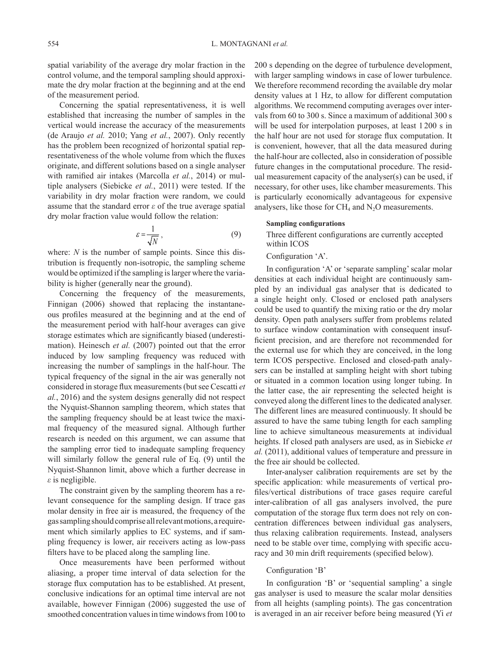spatial variability of the average dry molar fraction in the control volume, and the temporal sampling should approximate the dry molar fraction at the beginning and at the end of the measurement period.

Concerning the spatial representativeness, it is well established that increasing the number of samples in the vertical would increase the accuracy of the measurements (de Araujo *et al.* 2010; Yang *et al.*, 2007). Only recently has the problem been recognized of horizontal spatial representativeness of the whole volume from which the fluxes originate, and different solutions based on a single analyser with ramified air intakes (Marcolla *et al.*, 2014) or multiple analysers (Siebicke *et al.*, 2011) were tested. If the variability in dry molar fraction were random, we could assume that the standard error *ε* of the true average spatial dry molar fraction value would follow the relation:

$$
\varepsilon = \frac{1}{\sqrt{N}}\,,\tag{9}
$$

where: *N* is the number of sample points. Since this distribution is frequently non-isotropic, the sampling scheme would be optimized if the sampling is larger where the variability is higher (generally near the ground).

Concerning the frequency of the measurements, Finnigan (2006) showed that replacing the instantaneous profiles measured at the beginning and at the end of the measurement period with half-hour averages can give storage estimates which are significantly biased (underestimation). Heinesch *et al.* (2007) pointed out that the error induced by low sampling frequency was reduced with increasing the number of samplings in the half-hour. The typical frequency of the signal in the air was generally not considered in storage flux measurements (but see Cescatti *et al.*, 2016) and the system designs generally did not respect the Nyquist-Shannon sampling theorem, which states that the sampling frequency should be at least twice the maximal frequency of the measured signal. Although further research is needed on this argument, we can assume that the sampling error tied to inadequate sampling frequency will similarly follow the general rule of Eq. (9) until the Nyquist-Shannon limit, above which a further decrease in *ε* is negligible.

The constraint given by the sampling theorem has a relevant consequence for the sampling design. If trace gas molar density in free air is measured, the frequency of the gas sampling should comprise all relevant motions, a requirement which similarly applies to EC systems, and if sampling frequency is lower, air receivers acting as low-pass filters have to be placed along the sampling line.

Once measurements have been performed without aliasing, a proper time interval of data selection for the storage flux computation has to be established. At present, conclusive indications for an optimal time interval are not available, however Finnigan (2006) suggested the use of smoothed concentration values in time windows from 100 to

200 s depending on the degree of turbulence development, with larger sampling windows in case of lower turbulence. We therefore recommend recording the available dry molar density values at 1 Hz, to allow for different computation algorithms. We recommend computing averages over intervals from 60 to 300 s. Since a maximum of additional 300 s will be used for interpolation purposes, at least 1200 s in the half hour are not used for storage flux computation. It is convenient, however, that all the data measured during the half-hour are collected, also in consideration of possible future changes in the computational procedure. The residual measurement capacity of the analyser(s) can be used, if necessary, for other uses, like chamber measurements. This is particularly economically advantageous for expensive analysers, like those for  $CH_4$  and  $N_2O$  measurements.

# **Sampling configurations**

Three different configurations are currently accepted within ICOS

#### Configuration 'A'.

In configuration 'A' or 'separate sampling' scalar molar densities at each individual height are continuously sampled by an individual gas analyser that is dedicated to a single height only. Closed or enclosed path analysers could be used to quantify the mixing ratio or the dry molar density. Open path analysers suffer from problems related to surface window contamination with consequent insufficient precision, and are therefore not recommended for the external use for which they are conceived, in the long term ICOS perspective. Enclosed and closed-path analysers can be installed at sampling height with short tubing or situated in a common location using longer tubing. In the latter case, the air representing the selected height is conveyed along the different lines to the dedicated analyser. The different lines are measured continuously. It should be assured to have the same tubing length for each sampling line to achieve simultaneous measurements at individual heights. If closed path analysers are used, as in Siebicke *et al.* (2011), additional values of temperature and pressure in the free air should be collected.

Inter-analyser calibration requirements are set by the specific application: while measurements of vertical profiles/vertical distributions of trace gases require careful inter-calibration of all gas analysers involved, the pure computation of the storage flux term does not rely on concentration differences between individual gas analysers, thus relaxing calibration requirements. Instead, analysers need to be stable over time, complying with specific accuracy and 30 min drift requirements (specified below).

### Configuration 'B'

In configuration 'B' or 'sequential sampling' a single gas analyser is used to measure the scalar molar densities from all heights (sampling points). The gas concentration is averaged in an air receiver before being measured (Yi *et*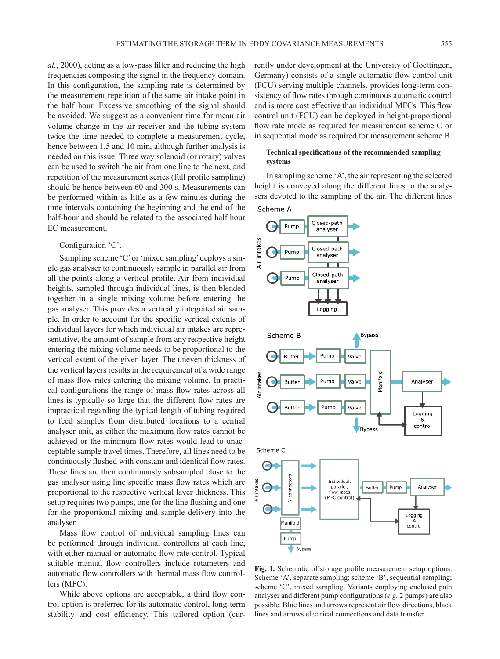*al.*, 2000), acting as a low-pass filter and reducing the high frequencies composing the signal in the frequency domain. In this configuration, the sampling rate is determined by the measurement repetition of the same air intake point in the half hour. Excessive smoothing of the signal should be avoided. We suggest as a convenient time for mean air volume change in the air receiver and the tubing system twice the time needed to complete a measurement cycle, hence between 1.5 and 10 min, although further analysis is needed on this issue. Three way solenoid (or rotary) valves can be used to switch the air from one line to the next, and repetition of the measurement series (full profile sampling) should be hence between 60 and 300 s. Measurements can be performed within as little as a few minutes during the time intervals containing the beginning and the end of the half-hour and should be related to the associated half hour EC measurement.

### Configuration 'C'.

Sampling scheme 'C' or 'mixed sampling' deploys a single gas analyser to continuously sample in parallel air from all the points along a vertical profile. Air from individual heights, sampled through individual lines, is then blended together in a single mixing volume before entering the gas analyser. This provides a vertically integrated air sample. In order to account for the specific vertical extents of individual layers for which individual air intakes are representative, the amount of sample from any respective height entering the mixing volume needs to be proportional to the vertical extent of the given layer. The uneven thickness of the vertical layers results in the requirement of a wide range of mass flow rates entering the mixing volume. In practical configurations the range of mass flow rates across all lines is typically so large that the different flow rates are impractical regarding the typical length of tubing required to feed samples from distributed locations to a central analyser unit, as either the maximum flow rates cannot be achieved or the minimum flow rates would lead to unacceptable sample travel times. Therefore, all lines need to be continuously flushed with constant and identical flow rates. These lines are then continuously subsampled close to the gas analyser using line specific mass flow rates which are proportional to the respective vertical layer thickness. This setup requires two pumps, one for the line flushing and one for the proportional mixing and sample delivery into the analyser.

Mass flow control of individual sampling lines can be performed through individual controllers at each line, with either manual or automatic flow rate control. Typical suitable manual flow controllers include rotameters and automatic flow controllers with thermal mass flow controllers (MFC).

While above options are acceptable, a third flow control option is preferred for its automatic control, long-term stability and cost efficiency. This tailored option (currently under development at the University of Goettingen, Germany) consists of a single automatic flow control unit (FCU) serving multiple channels, provides long-term consistency of flow rates through continuous automatic control and is more cost effective than individual MFCs. This flow control unit (FCU) can be deployed in height-proportional flow rate mode as required for measurement scheme C or in sequential mode as required for measurement scheme B.

# **Technical specifications of the recommended sampling systems**

In sampling scheme 'A', the air representing the selected height is conveyed along the different lines to the analysers devoted to the sampling of the air. The different lines Scheme A



**Fig. 1.** Schematic of storage profile measurement setup options. Scheme 'A', separate sampling; scheme 'B', sequential sampling; scheme 'C', mixed sampling. Variants employing enclosed path analyser and different pump configurations (*e.g.* 2 pumps) are also possible. Blue lines and arrows represent air flow directions, black lines and arrows electrical connections and data transfer.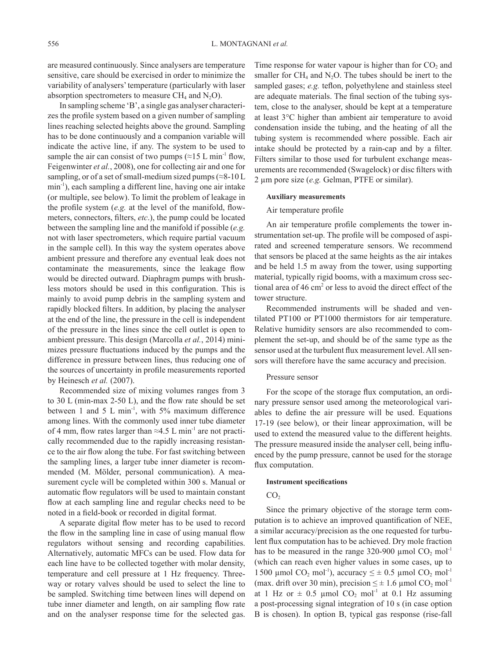are measured continuously. Since analysers are temperature sensitive, care should be exercised in order to minimize the variability of analysers' temperature (particularly with laser absorption spectrometers to measure CH<sub>4</sub> and N<sub>2</sub>O).

In sampling scheme 'B', a single gas analyser characterizes the profile system based on a given number of sampling lines reaching selected heights above the ground. Sampling has to be done continuously and a companion variable will indicate the active line, if any. The system to be used to sample the air can consist of two pumps ( $\approx$ 15 L min<sup>-1</sup> flow, Feigenwinter *et al.*, 2008), one for collecting air and one for sampling, or of a set of small-medium sized pumps ( $\approx$ 8-10 L min-1), each sampling a different line, having one air intake (or multiple, see below). To limit the problem of leakage in the profile system (*e.g.* at the level of the manifold, flowmeters, connectors, filters, *etc*.), the pump could be located between the sampling line and the manifold if possible (*e.g.* not with laser spectrometers, which require partial vacuum in the sample cell). In this way the system operates above ambient pressure and therefore any eventual leak does not contaminate the measurements, since the leakage flow would be directed outward. Diaphragm pumps with brushless motors should be used in this configuration. This is mainly to avoid pump debris in the sampling system and rapidly blocked filters. In addition, by placing the analyser at the end of the line, the pressure in the cell is independent of the pressure in the lines since the cell outlet is open to ambient pressure. This design (Marcolla *et al.*, 2014) minimizes pressure fluctuations induced by the pumps and the difference in pressure between lines, thus reducing one of the sources of uncertainty in profile measurements reported by Heinesch *et al.* (2007).

Recommended size of mixing volumes ranges from 3 to 30 L (min-max 2-50 L), and the flow rate should be set between 1 and 5 L min<sup>-1</sup>, with 5% maximum difference among lines. With the commonly used inner tube diameter of 4 mm, flow rates larger than  $\approx 4.5$  L min<sup>-1</sup> are not practically recommended due to the rapidly increasing resistance to the air flow along the tube. For fast switching between the sampling lines, a larger tube inner diameter is recommended (M. Mölder, personal communication). A measurement cycle will be completed within 300 s. Manual or automatic flow regulators will be used to maintain constant flow at each sampling line and regular checks need to be noted in a field-book or recorded in digital format.

A separate digital flow meter has to be used to record the flow in the sampling line in case of using manual flow regulators without sensing and recording capabilities. Alternatively, automatic MFCs can be used. Flow data for each line have to be collected together with molar density, temperature and cell pressure at 1 Hz frequency. Threeway or rotary valves should be used to select the line to be sampled. Switching time between lines will depend on tube inner diameter and length, on air sampling flow rate and on the analyser response time for the selected gas.

Time response for water vapour is higher than for  $CO<sub>2</sub>$  and smaller for  $CH_4$  and  $N_2O$ . The tubes should be inert to the sampled gases; *e.g.* teflon, polyethylene and stainless steel are adequate materials. The final section of the tubing system, close to the analyser, should be kept at a temperature at least 3°C higher than ambient air temperature to avoid condensation inside the tubing, and the heating of all the tubing system is recommended where possible. Each air intake should be protected by a rain-cap and by a filter. Filters similar to those used for turbulent exchange measurements are recommended (Swagelock) or disc filters with 2 µm pore size (*e.g.* Gelman, PTFE or similar).

#### **Auxiliary measurements**

#### Air temperature profile

An air temperature profile complements the tower instrumentation set-up. The profile will be composed of aspirated and screened temperature sensors. We recommend that sensors be placed at the same heights as the air intakes and be held 1.5 m away from the tower, using supporting material, typically rigid booms, with a maximum cross sectional area of  $46 \text{ cm}^2$  or less to avoid the direct effect of the tower structure.

Recommended instruments will be shaded and ventilated PT100 or PT1000 thermistors for air temperature. Relative humidity sensors are also recommended to complement the set-up, and should be of the same type as the sensor used at the turbulent flux measurement level. All sensors will therefore have the same accuracy and precision.

#### Pressure sensor

For the scope of the storage flux computation, an ordinary pressure sensor used among the meteorological variables to define the air pressure will be used. Equations 17-19 (see below), or their linear approximation, will be used to extend the measured value to the different heights. The pressure measured inside the analyser cell, being influenced by the pump pressure, cannot be used for the storage flux computation.

### **Instrument specifications**

### CO<sub>2</sub>

Since the primary objective of the storage term computation is to achieve an improved quantification of NEE, a similar accuracy/precision as the one requested for turbulent flux computation has to be achieved. Dry mole fraction has to be measured in the range 320-900 µmol  $CO<sub>2</sub>$  mol<sup>-1</sup> (which can reach even higher values in some cases, up to 1500 µmol CO<sub>2</sub> mol<sup>-1</sup>), accuracy  $\leq \pm 0.5$  µmol CO<sub>2</sub> mol<sup>-1</sup> (max. drift over 30 min), precision  $\leq \pm 1.6$  µmol CO<sub>2</sub> mol<sup>-1</sup> at 1 Hz or  $\pm$  0.5 µmol CO<sub>2</sub> mol<sup>-1</sup> at 0.1 Hz assuming a post-processing signal integration of 10 s (in case option B is chosen). In option B, typical gas response (rise-fall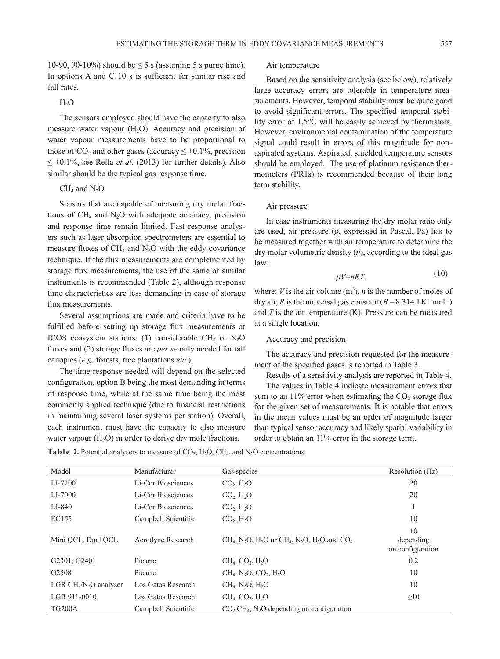10-90, 90-10%) should be  $\leq$  5 s (assuming 5 s purge time). In options A and C 10 s is sufficient for similar rise and fall rates.

# $H<sub>2</sub>O$

The sensors employed should have the capacity to also measure water vapour  $(H<sub>2</sub>O)$ . Accuracy and precision of water vapour measurements have to be proportional to those of  $CO_2$  and other gases (accuracy  $\leq \pm 0.1\%$ , precision  $\leq \pm 0.1\%$ , see Rella *et al.* (2013) for further details). Also similar should be the typical gas response time.

# $CH<sub>4</sub>$  and  $N<sub>2</sub>O$

Sensors that are capable of measuring dry molar fractions of  $CH_4$  and  $N_2O$  with adequate accuracy, precision and response time remain limited. Fast response analysers such as laser absorption spectrometers are essential to measure fluxes of  $CH_4$  and  $N_2O$  with the eddy covariance technique. If the flux measurements are complemented by storage flux measurements, the use of the same or similar instruments is recommended (Table 2), although response time characteristics are less demanding in case of storage flux measurements.

Several assumptions are made and criteria have to be fulfilled before setting up storage flux measurements at ICOS ecosystem stations: (1) considerable CH<sub>4</sub> or  $N_2O$ fluxes and (2) storage fluxes are *per se* only needed for tall canopies (*e.g.* forests, tree plantations *etc*.).

The time response needed will depend on the selected configuration, option B being the most demanding in terms of response time, while at the same time being the most commonly applied technique (due to financial restrictions in maintaining several laser systems per station). Overall, each instrument must have the capacity to also measure water vapour  $(H_2O)$  in order to derive dry mole fractions.

#### Air temperature

Based on the sensitivity analysis (see below), relatively large accuracy errors are tolerable in temperature measurements. However, temporal stability must be quite good to avoid significant errors. The specified temporal stability error of 1.5°C will be easily achieved by thermistors. However, environmental contamination of the temperature signal could result in errors of this magnitude for nonaspirated systems. Aspirated, shielded temperature sensors should be employed. The use of platinum resistance thermometers (PRTs) is recommended because of their long term stability.

# Air pressure

In case instruments measuring the dry molar ratio only are used, air pressure (*p*, expressed in Pascal, Pa) has to be measured together with air temperature to determine the dry molar volumetric density (*n*), according to the ideal gas law:

$$
pV=nRT,\tag{10}
$$

where: *V* is the air volume  $(m^3)$ , *n* is the number of moles of dry air, *R* is the universal gas constant  $(R = 8.314 \text{ J K}^{-1} \text{mol}^{-1})$ and *T* is the air temperature (K). Pressure can be measured at a single location.

# Accuracy and precision

The accuracy and precision requested for the measurement of the specified gases is reported in Table 3.

Results of a sensitivity analysis are reported in Table 4.

The values in Table 4 indicate measurement errors that sum to an  $11\%$  error when estimating the  $CO<sub>2</sub>$  storage flux for the given set of measurements. It is notable that errors in the mean values must be an order of magnitude larger than typical sensor accuracy and likely spatial variability in order to obtain an 11% error in the storage term.

**Ta b l e** 2. Potential analysers to measure of  $CO_2$ ,  $H_2O$ ,  $CH_4$ , and  $N_2O$  concentrations

| Model                  | Manufacturer        | Gas species                                                                                                            | Resolution (Hz)               |
|------------------------|---------------------|------------------------------------------------------------------------------------------------------------------------|-------------------------------|
| LI-7200                | Li-Cor Biosciences  | CO <sub>2</sub> , H <sub>2</sub> O                                                                                     | 20                            |
| LI-7000                | Li-Cor Biosciences  | $CO2$ , $H2O$                                                                                                          | 20                            |
| LI-840                 | Li-Cor Biosciences  | $CO2$ , $H2O$                                                                                                          |                               |
| EC155                  | Campbell Scientific | $CO2$ , $H2O$                                                                                                          | 10                            |
|                        |                     |                                                                                                                        | 10                            |
| Mini OCL, Dual OCL     | Aerodyne Research   | $CH4$ , N <sub>2</sub> O, H <sub>2</sub> O or CH <sub>4</sub> , N <sub>2</sub> O, H <sub>2</sub> O and CO <sub>2</sub> | depending<br>on configuration |
| G2301; G2401           | Picarro             | $CH4$ , $CO2$ , $H2O$                                                                                                  | 0.2                           |
| G <sub>2508</sub>      | Picarro             | $CH4$ , N <sub>2</sub> O, CO <sub>2</sub> , H <sub>2</sub> O                                                           | 10                            |
| LGR $CH4/N2O$ analyser | Los Gatos Research  | $CH_4$ , N <sub>2</sub> O, H <sub>2</sub> O                                                                            | 10                            |
| LGR 911-0010           | Los Gatos Research  | $CH4$ , $CO2$ , $H2O$                                                                                                  | $\geq 10$                     |
| <b>TG200A</b>          | Campbell Scientific | $CO$ , $CH4$ , N <sub>2</sub> O depending on configuration                                                             |                               |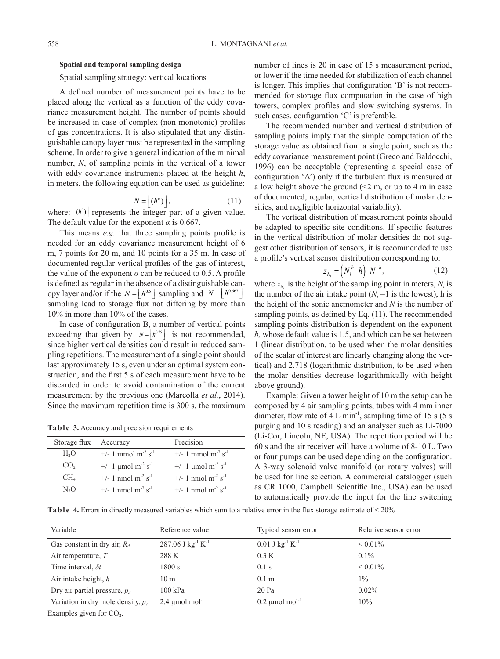# **Spatial and temporal sampling design**

Spatial sampling strategy: vertical locations

A defined number of measurement points have to be placed along the vertical as a function of the eddy covariance measurement height. The number of points should be increased in case of complex (non-monotonic) profiles of gas concentrations. It is also stipulated that any distinguishable canopy layer must be represented in the sampling scheme. In order to give a general indication of the minimal number, *N*, of sampling points in the vertical of a tower with eddy covariance instruments placed at the height *h*, in meters, the following equation can be used as guideline:

$$
N = \lfloor (h^a) \rfloor,\tag{11}
$$

where:  $\lfloor (h^a) \rfloor$  represents the integer part of a given value. The default value for the exponent  $\alpha$  is 0.667.

This means *e.g.* that three sampling points profile is needed for an eddy covariance measurement height of 6 m, 7 points for 20 m, and 10 points for a 35 m. In case of documented regular vertical profiles of the gas of interest, the value of the exponent  $\alpha$  can be reduced to 0.5. A profile is defined as regular in the absence of a distinguishable canopy layer and/or if the  $N = \lfloor h^{0.5} \rfloor$  sampling and  $N = \lfloor h^{0.667} \rfloor$ sampling lead to storage flux not differing by more than 10% in more than 10% of the cases.

In case of configuration B, a number of vertical points exceeding that given by  $N = \left| h^{0.75} \right|$  is not recommended, since higher vertical densities could result in reduced sampling repetitions. The measurement of a single point should last approximately 15 s, even under an optimal system construction, and the first 5 s of each measurement have to be discarded in order to avoid contamination of the current measurement by the previous one (Marcolla *et al.*, 2014). Since the maximum repetition time is 300 s, the maximum

**Table 3.** Accuracy and precision requirements

| Storage flux     | Accuracy                                                | Precision                                               |
|------------------|---------------------------------------------------------|---------------------------------------------------------|
| H <sub>2</sub> O | +/- 1 mmol $m^{-2} s^{-1}$                              | $+/- 1$ mmol m <sup>-2</sup> s <sup>-1</sup>            |
| CO <sub>2</sub>  | $+/- 1 \text{ \mu}$ mol m <sup>-2</sup> s <sup>-1</sup> | $+/- 1 \text{ \mu}$ mol m <sup>-2</sup> s <sup>-1</sup> |
| CH <sub>4</sub>  | $+/- 1$ nmol m <sup>-2</sup> s <sup>-1</sup>            | +/- 1 nmol m <sup>-2</sup> s <sup>-1</sup>              |
| N,O              | $+/- 1$ nmol m <sup>-2</sup> s <sup>-1</sup>            | $+/- 1$ nmol m <sup>-2</sup> s <sup>-1</sup>            |

number of lines is 20 in case of 15 s measurement period, or lower if the time needed for stabilization of each channel is longer. This implies that configuration 'B' is not recommended for storage flux computation in the case of high towers, complex profiles and slow switching systems. In such cases, configuration 'C' is preferable.

The recommended number and vertical distribution of sampling points imply that the simple computation of the storage value as obtained from a single point, such as the eddy covariance measurement point (Greco and Baldocchi, 1996) can be acceptable (representing a special case of configuration 'A') only if the turbulent flux is measured at a low height above the ground  $\ll 2$  m, or up to 4 m in case of documented, regular, vertical distribution of molar densities, and negligible horizontal variability).

The vertical distribution of measurement points should be adapted to specific site conditions. If specific features in the vertical distribution of molar densities do not suggest other distribution of sensors, it is recommended to use a profile's vertical sensor distribution corresponding to:

$$
z_{N_i} = \left(N_i^b \ h\right) \ N^{-b}, \tag{12}
$$

where  $z_N$  is the height of the sampling point in meters,  $N_i$  is the number of the air intake point  $(N<sub>i</sub>=1$  is the lowest), h is the height of the sonic anemometer and *N* is the number of sampling points, as defined by Eq. (11). The recommended sampling points distribution is dependent on the exponent *b,* whose default value is 1.5, and which can be set between 1 (linear distribution, to be used when the molar densities of the scalar of interest are linearly changing along the vertical) and 2.718 (logarithmic distribution, to be used when the molar densities decrease logarithmically with height above ground).

Example: Given a tower height of 10 m the setup can be composed by 4 air sampling points, tubes with 4 mm inner diameter, flow rate of 4 L min<sup>-1</sup>, sampling time of 15 s (5 s) purging and 10 s reading) and an analyser such as Li-7000 (Li-Cor, Lincoln, NE, USA). The repetition period will be 60 s and the air receiver will have a volume of 8-10 L. Two or four pumps can be used depending on the configuration. A 3-way solenoid valve manifold (or rotary valves) will be used for line selection. A commercial datalogger (such as CR 1000, Campbell Scientific Inc., USA) can be used to automatically provide the input for the line switching

**Table 4.** Errors in directly measured variables which sum to a relative error in the flux storage estimate of < 20%

| Variable                                | Reference value                 | Typical sensor error                      | Relative sensor error |
|-----------------------------------------|---------------------------------|-------------------------------------------|-----------------------|
| Gas constant in dry air, $R_d$          | 287.06 J $kg^{-1} K^{-1}$       | $0.01$ J kg <sup>-1</sup> K <sup>-1</sup> | $\leq 0.01\%$         |
| Air temperature, $T$                    | 288 K                           | 0.3 K                                     | $0.1\%$               |
| Time interval, $\delta t$               | 1800 s                          | $0.1$ s                                   | $\leq 0.01\%$         |
| Air intake height, $h$                  | 10 <sub>m</sub>                 | 0.1 <sub>m</sub>                          | $1\%$                 |
| Dry air partial pressure, $p_d$         | $100$ kPa                       | $20$ Pa                                   | $0.02\%$              |
| Variation in dry mole density, $\rho_c$ | $2.4 \mu$ mol mol <sup>-1</sup> | $0.2 \mu$ mol mol <sup>-1</sup>           | 10%                   |
| Examples given for $CO2$ .              |                                 |                                           |                       |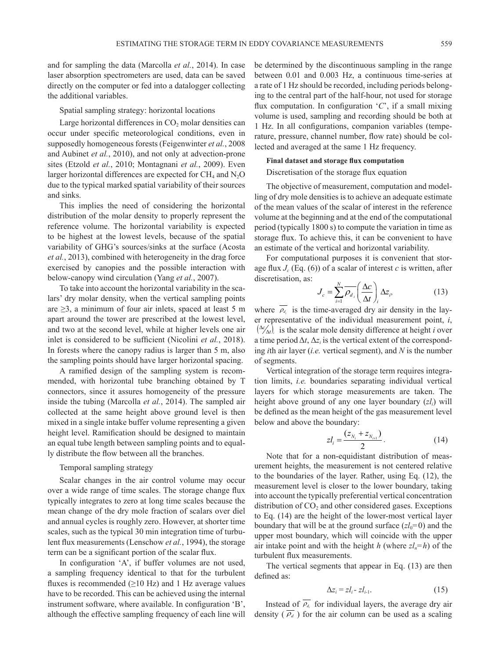and for sampling the data (Marcolla *et al.*, 2014). In case laser absorption spectrometers are used, data can be saved directly on the computer or fed into a datalogger collecting the additional variables.

### Spatial sampling strategy: horizontal locations

Large horizontal differences in  $CO<sub>2</sub>$  molar densities can occur under specific meteorological conditions, even in supposedly homogeneous forests (Feigenwinter *et al.*, 2008 and Aubinet *et al.*, 2010), and not only at advection-prone sites (Etzold *et al.*, 2010; Montagnani *et al.*, 2009). Even larger horizontal differences are expected for  $CH_4$  and  $N_2O$ due to the typical marked spatial variability of their sources and sinks.

This implies the need of considering the horizontal distribution of the molar density to properly represent the reference volume. The horizontal variability is expected to be highest at the lowest levels, because of the spatial variability of GHG's sources/sinks at the surface (Acosta *et al.*, 2013), combined with heterogeneity in the drag force exercised by canopies and the possible interaction with below-canopy wind circulation (Yang *et al.*, 2007).

To take into account the horizontal variability in the scalars' dry molar density, when the vertical sampling points are  $\geq$ 3, a minimum of four air inlets, spaced at least 5 m apart around the tower are prescribed at the lowest level, and two at the second level, while at higher levels one air inlet is considered to be sufficient (Nicolini *et al.*, 2018). In forests where the canopy radius is larger than 5 m, also the sampling points should have larger horizontal spacing.

A ramified design of the sampling system is recommended, with horizontal tube branching obtained by T connectors, since it assures homogeneity of the pressure inside the tubing (Marcolla *et al.*, 2014). The sampled air collected at the same height above ground level is then mixed in a single intake buffer volume representing a given height level. Ramification should be designed to maintain an equal tube length between sampling points and to equally distribute the flow between all the branches.

### Temporal sampling strategy

Scalar changes in the air control volume may occur over a wide range of time scales. The storage change flux typically integrates to zero at long time scales because the mean change of the dry mole fraction of scalars over diel and annual cycles is roughly zero. However, at shorter time scales, such as the typical 30 min integration time of turbulent flux measurements (Lenschow *et al.*, 1994), the storage term can be a significant portion of the scalar flux.

In configuration 'A', if buffer volumes are not used, a sampling frequency identical to that for the turbulent fluxes is recommended  $(\geq 10 \text{ Hz})$  and 1 Hz average values have to be recorded. This can be achieved using the internal instrument software, where available. In configuration 'B', although the effective sampling frequency of each line will be determined by the discontinuous sampling in the range between 0.01 and 0.003 Hz, a continuous time-series at a rate of 1 Hz should be recorded, including periods belonging to the central part of the half-hour, not used for storage flux computation. In configuration '*C*', if a small mixing volume is used, sampling and recording should be both at 1 Hz. In all configurations, companion variables (temperature, pressure, channel number, flow rate) should be collected and averaged at the same 1 Hz frequency.

# **Final dataset and storage flux computation**  Discretisation of the storage flux equation

The objective of measurement, computation and modelling of dry mole densities is to achieve an adequate estimate of the mean values of the scalar of interest in the reference volume at the beginning and at the end of the computational period (typically 1800 s) to compute the variation in time as storage flux. To achieve this, it can be convenient to have an estimate of the vertical and horizontal variability.

For computational purposes it is convenient that storage flux  $J_c$  (Eq. (6)) of a scalar of interest *c* is written, after discretisation, as:

$$
J_c = \sum_{i=1}^{N} \overline{\rho_d}_{i} \left(\frac{\Delta c}{\Delta t}\right)_{i} \Delta z_{i},
$$
 (13)

where  $\rho_{d_i}$  is the time-averaged dry air density in the layer representative of the individual measurement point, *i*,  $\left(\frac{\Delta c}{\Delta t}\right)$  is the scalar mole density difference at height *i* over a time period  $\Delta t$ ,  $\Delta z_i$  is the vertical extent of the corresponding *i*th air layer (*i.e.* vertical segment), and *N* is the number of segments.

Vertical integration of the storage term requires integration limits, *i.e.* boundaries separating individual vertical layers for which storage measurements are taken. The height above ground of any one layer boundary (*zli*) will be defined as the mean height of the gas measurement level below and above the boundary:

$$
z l_i = \frac{(z_{N_i} + z_{N_{i+1}})}{2}.
$$
 (14)

Note that for a non-equidistant distribution of measurement heights, the measurement is not centered relative to the boundaries of the layer. Rather, using Eq. (12), the measurement level is closer to the lower boundary, taking into account the typically preferential vertical concentration distribution of  $CO<sub>2</sub>$  and other considered gases. Exceptions to Eq. (14) are the height of the lower-most vertical layer boundary that will be at the ground surface  $(zl_0=0)$  and the upper most boundary, which will coincide with the upper air intake point and with the height *h* (where  $z l_n = h$ ) of the turbulent flux measurements.

The vertical segments that appear in Eq. (13) are then defined as:

$$
\Delta z_i = z l_i - z l_{i-1}.\tag{15}
$$

Instead of  $\overline{\rho_{d_i}}$  for individual layers, the average dry air density  $(\overline{\rho_d})$  for the air column can be used as a scaling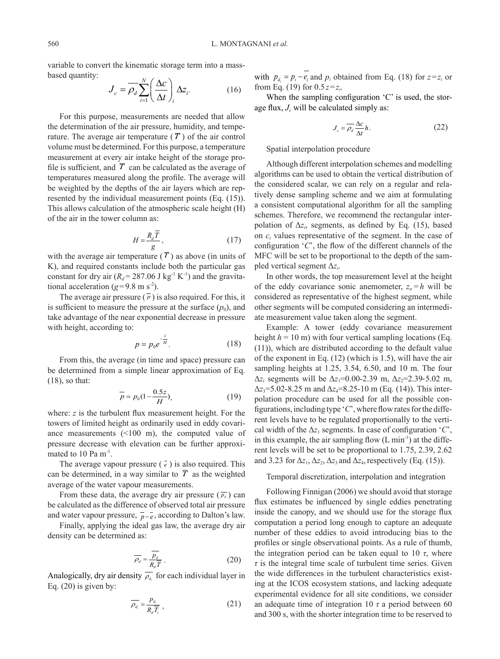variable to convert the kinematic storage term into a massbased quantity:

$$
J_c = \overline{\rho_d} \sum_{i=1}^{N} \left( \frac{\Delta c}{\Delta t} \right)_i \Delta z_i.
$$
 (16)

For this purpose, measurements are needed that allow the determination of the air pressure, humidity, and temperature. The average air temperature  $(\overline{T})$  of the air control volume must be determined. For this purpose, a temperature measurement at every air intake height of the storage profile is sufficient, and  $\overline{T}$  can be calculated as the average of temperatures measured along the profile. The average will be weighted by the depths of the air layers which are represented by the individual measurement points (Eq. (15)). This allows calculation of the atmospheric scale height (H) of the air in the tower column as:

$$
H = \frac{R_d \overline{T}}{g},\tag{17}
$$

with the average air temperature  $(\overline{T})$  as above (in units of K), and required constants include both the particular gas constant for dry air  $(R_d = 287.06 \text{ J kg}^{-1} \text{ K}^{-1})$  and the gravitational acceleration ( $g=9.8$  m s<sup>-2</sup>).

The average air pressure  $(\bar{p})$  is also required. For this, it is sufficient to measure the pressure at the surface  $(p_0)$ , and take advantage of the near exponential decrease in pressure with height, according to:

$$
p = p_0 e^{-\frac{z}{H}}.\tag{18}
$$

From this, the average (in time and space) pressure can be determined from a simple linear approximation of Eq. (18), so that:

$$
\overline{p} = p_0 (1 - \frac{0.5z}{H}), \tag{19}
$$

where: *z* is the turbulent flux measurement height. For the towers of limited height as ordinarily used in eddy covariance measurements  $(\leq 100 \text{ m})$ , the computed value of pressure decrease with elevation can be further approximated to  $10$  Pa m<sup>-1</sup>.

The average vapour pressure  $\left(\overline{e}\right)$  is also required. This can be determined, in a way similar to  $\overline{T}$  as the weighted average of the water vapour measurements.

From these data, the average dry air pressure  $(\overline{p_d})$  can be calculated as the difference of observed total air pressure and water vapour pressure,  $\bar{p} - \bar{e}$ , according to Dalton's law.

Finally, applying the ideal gas law, the average dry air density can be determined as:

$$
\overline{\rho_d} = \frac{\overline{p_d}}{R_d \overline{T}} \ . \tag{20}
$$

Analogically, dry air density  $\overline{\rho_{d_i}}$  for each individual layer in Eq.  $(20)$  is given by:

$$
\overline{\rho_{d_i}} = \frac{p_{d_i}}{R_d \overline{T_i}} \tag{21}
$$

with  $p_{d_i} = p_i - e_i$  and  $p_i$  obtained from Eq. (18) for  $z = z_i$  or from Eq. (19) for 0.5*z*=*zi*.

When the sampling configuration 'C' is used, the storage flux,  $J_c$  will be calculated simply as:

$$
J_c = \overline{\rho_d} \frac{\Delta c}{\Delta t} h. \tag{22}
$$

Spatial interpolation procedure

Although different interpolation schemes and modelling algorithms can be used to obtain the vertical distribution of the considered scalar, we can rely on a regular and relatively dense sampling scheme and we aim at formulating a consistent computational algorithm for all the sampling schemes. Therefore, we recommend the rectangular interpolation of  $\Delta z_i$ , segments, as defined by Eq. (15), based on *ci* values representative of the segment. In the case of configuration '*C*', the flow of the different channels of the MFC will be set to be proportional to the depth of the sampled vertical segment Δ*zi*.

In other words, the top measurement level at the height of the eddy covariance sonic anemometer,  $z_n = h$  will be considered as representative of the highest segment, while other segments will be computed considering an intermediate measurement value taken along the segment.

Example: A tower (eddy covariance measurement height  $h = 10$  m) with four vertical sampling locations (Eq. (11)), which are distributed according to the default value of the exponent in Eq. (12) (which is 1.5), will have the air sampling heights at 1.25, 3.54, 6.50, and 10 m. The four  $\Delta z_i$  segments will be  $\Delta z_1 = 0.00 - 2.39$  m,  $\Delta z_2 = 2.39 - 5.02$  m,  $\Delta z_3 = 5.02 - 8.25$  m and  $\Delta z_4 = 8.25 - 10$  m (Eq. (14)). This interpolation procedure can be used for all the possible configurations, including type '*C*', where flow rates for the different levels have to be regulated proportionally to the vertical width of the  $\Delta z_1$  segments. In case of configuration '*C*', in this example, the air sampling flow  $(L \text{ min}^{-1})$  at the different levels will be set to be proportional to 1.75, 2.39, 2.62 and 3.23 for  $\Delta z_1$ ,  $\Delta z_2$ ,  $\Delta z_3$  and  $\Delta z_4$ , respectively (Eq. (15)).

Temporal discretization, interpolation and integration

Following Finnigan (2006) we should avoid that storage flux estimates be influenced by single eddies penetrating inside the canopy, and we should use for the storage flux computation a period long enough to capture an adequate number of these eddies to avoid introducing bias to the profiles or single observational points. As a rule of thumb, the integration period can be taken equal to 10  $\tau$ , where  $\tau$  is the integral time scale of turbulent time series. Given the wide differences in the turbulent characteristics existing at the ICOS ecosystem stations, and lacking adequate experimental evidence for all site conditions, we consider an adequate time of integration 10 *τ* a period between 60 and 300 s, with the shorter integration time to be reserved to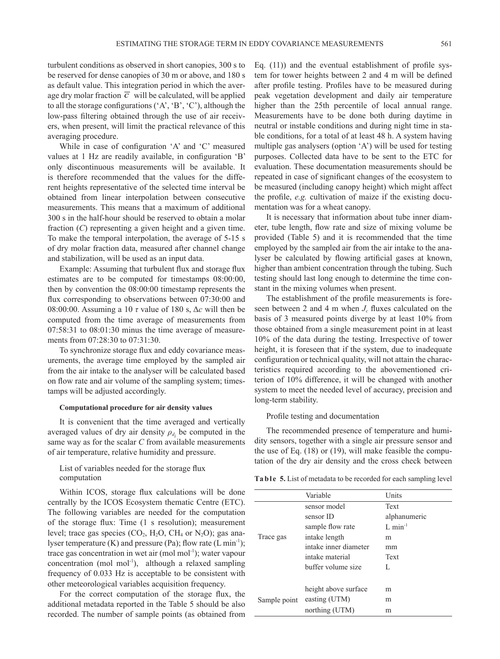turbulent conditions as observed in short canopies, 300 s to be reserved for dense canopies of 30 m or above, and 180 s as default value. This integration period in which the average dry molar fraction  $\overline{c}$  will be calculated, will be applied to all the storage configurations ('A', 'B', 'C'), although the low-pass filtering obtained through the use of air receivers, when present, will limit the practical relevance of this averaging procedure.

While in case of configuration 'A' and 'C' measured values at 1 Hz are readily available, in configuration 'B' only discontinuous measurements will be available. It is therefore recommended that the values for the different heights representative of the selected time interval be obtained from linear interpolation between consecutive measurements. This means that a maximum of additional 300 s in the half-hour should be reserved to obtain a molar fraction (*C*) representing a given height and a given time. To make the temporal interpolation, the average of 5-15 s of dry molar fraction data, measured after channel change and stabilization, will be used as an input data.

Example: Assuming that turbulent flux and storage flux estimates are to be computed for timestamps 08:00:00, then by convention the 08:00:00 timestamp represents the flux corresponding to observations between 07:30:00 and 08:00:00. Assuming a 10 *τ* value of 180 s, Δ*c* will then be computed from the time average of measurements from 07:58:31 to 08:01:30 minus the time average of measurements from 07:28:30 to 07:31:30.

To synchronize storage flux and eddy covariance measurements, the average time employed by the sampled air from the air intake to the analyser will be calculated based on flow rate and air volume of the sampling system; timestamps will be adjusted accordingly.

#### **Computational procedure for air density values**

It is convenient that the time averaged and vertically averaged values of dry air density  $\rho_{d_i}$  be computed in the same way as for the scalar *C* from available measurements of air temperature, relative humidity and pressure.

# List of variables needed for the storage flux computation

Within ICOS, storage flux calculations will be done centrally by the ICOS Ecosystem thematic Centre (ETC). The following variables are needed for the computation of the storage flux: Time (1 s resolution); measurement level; trace gas species  $(CO_2, H_2O, CH_4 \text{ or } N_2O)$ ; gas analyser temperature  $(K)$  and pressure  $(Pa)$ ; flow rate  $(L \min^{-1})$ ; trace gas concentration in wet air (mol mol $^{-1}$ ); water vapour concentration (mol mol<sup>-1</sup>), although a relaxed sampling frequency of 0.033 Hz is acceptable to be consistent with other meteorological variables acquisition frequency.

For the correct computation of the storage flux, the additional metadata reported in the Table 5 should be also recorded. The number of sample points (as obtained from Eq. (11)) and the eventual establishment of profile system for tower heights between 2 and 4 m will be defined after profile testing. Profiles have to be measured during peak vegetation development and daily air temperature higher than the 25th percentile of local annual range. Measurements have to be done both during daytime in neutral or instable conditions and during night time in stable conditions, for a total of at least 48 h. A system having multiple gas analysers (option 'A') will be used for testing purposes. Collected data have to be sent to the ETC for evaluation. These documentation measurements should be repeated in case of significant changes of the ecosystem to be measured (including canopy height) which might affect the profile, *e.g.* cultivation of maize if the existing documentation was for a wheat canopy.

It is necessary that information about tube inner diameter, tube length, flow rate and size of mixing volume be provided (Table 5) and it is recommended that the time employed by the sampled air from the air intake to the analyser be calculated by flowing artificial gases at known, higher than ambient concentration through the tubing. Such testing should last long enough to determine the time constant in the mixing volumes when present.

The establishment of the profile measurements is foreseen between 2 and 4 m when  $J_c$  fluxes calculated on the basis of 3 measured points diverge by at least 10% from those obtained from a single measurement point in at least 10% of the data during the testing. Irrespective of tower height, it is foreseen that if the system, due to inadequate configuration or technical quality, will not attain the characteristics required according to the abovementioned criterion of 10% difference, it will be changed with another system to meet the needed level of accuracy, precision and long-term stability.

Profile testing and documentation

The recommended presence of temperature and humidity sensors, together with a single air pressure sensor and the use of Eq. (18) or (19), will make feasible the computation of the dry air density and the cross check between

Ta b l e 5. List of metadata to be recorded for each sampling level

|              | Variable              | Units                |
|--------------|-----------------------|----------------------|
|              | sensor model          | Text                 |
| Trace gas    | sensor ID             | alphanumeric         |
|              | sample flow rate      | $L \text{ min}^{-1}$ |
|              | intake length         | m                    |
|              | intake inner diameter | mm                   |
|              | intake material       | Text                 |
|              | buffer volume size    | L                    |
|              |                       |                      |
|              | height above surface  | m                    |
| Sample point | easting (UTM)         | m                    |
|              | northing (UTM)        | m                    |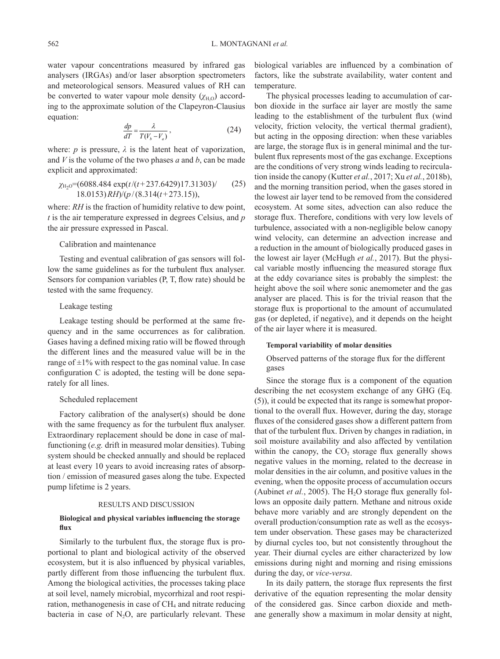water vapour concentrations measured by infrared gas analysers (IRGAs) and/or laser absorption spectrometers and meteorological sensors. Measured values of RH can be converted to water vapour mole density  $(\chi_{H,0})$  according to the approximate solution of the Clapeyron-Clausius equation:

$$
\frac{dp}{dT} = \frac{\lambda}{T(V_b - V_a)},\tag{24}
$$

where:  $p$  is pressure,  $\lambda$  is the latent heat of vaporization, and *V* is the volume of the two phases *a* and *b*, can be made explicit and approximated:

$$
\chi_{\text{H}_2\text{O}} = (6088.484 \exp(t/(t+237.6429)17.31303) / \qquad (25)
$$
  
18.0153) *RH*)/(p/(8.314(t+273.15)),

where: *RH* is the fraction of humidity relative to dew point, *t* is the air temperature expressed in degrees Celsius, and *p* the air pressure expressed in Pascal.

### Calibration and maintenance

Testing and eventual calibration of gas sensors will follow the same guidelines as for the turbulent flux analyser. Sensors for companion variables (P, T, flow rate) should be tested with the same frequency.

# Leakage testing

Leakage testing should be performed at the same frequency and in the same occurrences as for calibration. Gases having a defined mixing ratio will be flowed through the different lines and the measured value will be in the range of  $\pm 1\%$  with respect to the gas nominal value. In case configuration C is adopted, the testing will be done separately for all lines.

### Scheduled replacement

Factory calibration of the analyser(s) should be done with the same frequency as for the turbulent flux analyser. Extraordinary replacement should be done in case of malfunctioning (*e.g.* drift in measured molar densities). Tubing system should be checked annually and should be replaced at least every 10 years to avoid increasing rates of absorption / emission of measured gases along the tube. Expected pump lifetime is 2 years.

#### RESULTS AND DISCUSSION

# **Biological and physical variables influencing the storage flux**

Similarly to the turbulent flux, the storage flux is proportional to plant and biological activity of the observed ecosystem, but it is also influenced by physical variables, partly different from those influencing the turbulent flux. Among the biological activities, the processes taking place at soil level, namely microbial, mycorrhizal and root respiration, methanogenesis in case of  $CH<sub>4</sub>$  and nitrate reducing bacteria in case of  $N_2O$ , are particularly relevant. These biological variables are influenced by a combination of factors, like the substrate availability, water content and temperature.

The physical processes leading to accumulation of carbon dioxide in the surface air layer are mostly the same leading to the establishment of the turbulent flux (wind velocity, friction velocity, the vertical thermal gradient), but acting in the opposing direction: when these variables are large, the storage flux is in general minimal and the turbulent flux represents most of the gas exchange. Exceptions are the conditions of very strong winds leading to recirculation inside the canopy (Kutter *et al.*, 2017; Xu *et al.*, 2018b), and the morning transition period, when the gases stored in the lowest air layer tend to be removed from the considered ecosystem. At some sites, advection can also reduce the storage flux. Therefore, conditions with very low levels of turbulence, associated with a non-negligible below canopy wind velocity, can determine an advection increase and a reduction in the amount of biologically produced gases in the lowest air layer (McHugh *et al.*, 2017). But the physical variable mostly influencing the measured storage flux at the eddy covariance sites is probably the simplest: the height above the soil where sonic anemometer and the gas analyser are placed. This is for the trivial reason that the storage flux is proportional to the amount of accumulated gas (or depleted, if negative), and it depends on the height of the air layer where it is measured.

# **Temporal variability of molar densities**

Observed patterns of the storage flux for the different gases

Since the storage flux is a component of the equation describing the net ecosystem exchange of any GHG (Eq. (5)), it could be expected that its range is somewhat proportional to the overall flux. However, during the day, storage fluxes of the considered gases show a different pattern from that of the turbulent flux. Driven by changes in radiation, in soil moisture availability and also affected by ventilation within the canopy, the  $CO<sub>2</sub>$  storage flux generally shows negative values in the morning, related to the decrease in molar densities in the air column, and positive values in the evening, when the opposite process of accumulation occurs (Aubinet *et al.*, 2005). The  $H_2O$  storage flux generally follows an opposite daily pattern. Methane and nitrous oxide behave more variably and are strongly dependent on the overall production/consumption rate as well as the ecosystem under observation. These gases may be characterized by diurnal cycles too, but not consistently throughout the year. Their diurnal cycles are either characterized by low emissions during night and morning and rising emissions during the day, or *vice-versa*.

In its daily pattern, the storage flux represents the first derivative of the equation representing the molar density of the considered gas. Since carbon dioxide and methane generally show a maximum in molar density at night,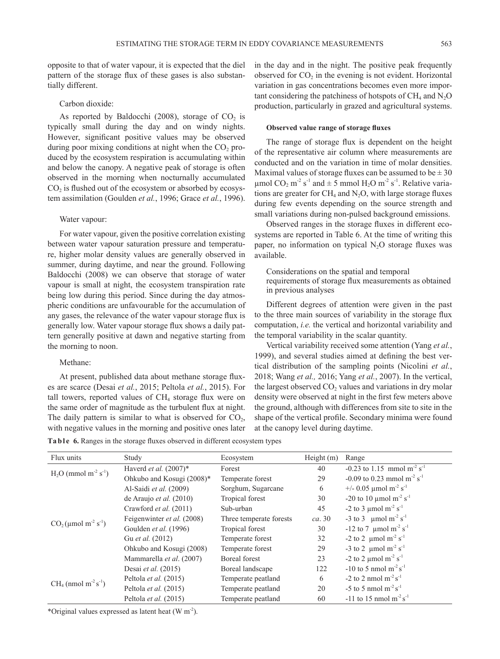opposite to that of water vapour, it is expected that the diel pattern of the storage flux of these gases is also substantially different.

### Carbon dioxide:

As reported by Baldocchi (2008), storage of  $CO<sub>2</sub>$  is typically small during the day and on windy nights. However, significant positive values may be observed during poor mixing conditions at night when the  $CO<sub>2</sub>$  produced by the ecosystem respiration is accumulating within and below the canopy. A negative peak of storage is often observed in the morning when nocturnally accumulated  $CO<sub>2</sub>$  is flushed out of the ecosystem or absorbed by ecosystem assimilation (Goulden *et al.*, 1996; Grace *et al.*, 1996).

### Water vapour:

For water vapour, given the positive correlation existing between water vapour saturation pressure and temperature, higher molar density values are generally observed in summer, during daytime, and near the ground. Following Baldocchi (2008) we can observe that storage of water vapour is small at night, the ecosystem transpiration rate being low during this period. Since during the day atmospheric conditions are unfavourable for the accumulation of any gases, the relevance of the water vapour storage flux is generally low. Water vapour storage flux shows a daily pattern generally positive at dawn and negative starting from the morning to noon.

### Methane:

At present, published data about methane storage fluxes are scarce (Desai *et al.*, 2015; Peltola *et al.*, 2015). For tall towers, reported values of  $CH<sub>4</sub>$  storage flux were on the same order of magnitude as the turbulent flux at night. The daily pattern is similar to what is observed for  $CO<sub>2</sub>$ , with negative values in the morning and positive ones later in the day and in the night. The positive peak frequently observed for  $CO<sub>2</sub>$  in the evening is not evident. Horizontal variation in gas concentrations becomes even more important considering the patchiness of hotspots of  $CH_4$  and  $N_2O$ production, particularly in grazed and agricultural systems.

#### **Observed value range of storage fluxes**

The range of storage flux is dependent on the height of the representative air column where measurements are conducted and on the variation in time of molar densities. Maximal values of storage fluxes can be assumed to be  $\pm 30$ µmol  $CO_2$  m<sup>-2</sup> s<sup>-1</sup> and  $\pm$  5 mmol H<sub>2</sub>O m<sup>-2</sup> s<sup>-1</sup>. Relative variations are greater for  $CH_4$  and  $N_2O$ , with large storage fluxes during few events depending on the source strength and small variations during non-pulsed background emissions.

Observed ranges in the storage fluxes in different ecosystems are reported in Table 6. At the time of writing this paper, no information on typical  $N_2O$  storage fluxes was available.

Considerations on the spatial and temporal requirements of storage flux measurements as obtained in previous analyses

Different degrees of attention were given in the past to the three main sources of variability in the storage flux computation, *i.e.* the vertical and horizontal variability and the temporal variability in the scalar quantity.

Vertical variability received some attention (Yang *et al.*, 1999), and several studies aimed at defining the best vertical distribution of the sampling points (Nicolini *et al.*, 2018; Wang *et al.,* 2016; Yang *et al.*, 2007). In the vertical, the largest observed  $CO<sub>2</sub>$  values and variations in dry molar density were observed at night in the first few meters above the ground, although with differences from site to site in the shape of the vertical profile. Secondary minima were found at the canopy level during daytime.

|  | Table 6. Ranges in the storage fluxes observed in different ecosystem types |  |  |  |
|--|-----------------------------------------------------------------------------|--|--|--|
|  |                                                                             |  |  |  |

| Flux units                                     | Study                            | Ecosystem               | Height(m) | Range                                                |
|------------------------------------------------|----------------------------------|-------------------------|-----------|------------------------------------------------------|
| $H_2O$ (mmol m <sup>-2</sup> s <sup>-1</sup> ) | Haverd et al. $(2007)^*$         | Forest                  | 40        | -0.23 to 1.15 mmol $m^2 s^{-1}$                      |
|                                                | Ohkubo and Kosugi (2008)*        | Temperate forest        | 29        | $-0.09$ to 0.23 mmol m <sup>-2</sup> s <sup>-1</sup> |
|                                                | Al-Saidi et al. (2009)           | Sorghum, Sugarcane      | 6         | +/- 0.05 $\mu$ mol m <sup>-2</sup> s <sup>-1</sup>   |
|                                                | de Araujo <i>et al.</i> $(2010)$ | Tropical forest         | 30        | -20 to 10 $\mu$ mol m <sup>-2</sup> s <sup>-1</sup>  |
|                                                | Crawford et al. (2011)           | Sub-urban               | 45        | -2 to 3 $\mu$ mol m <sup>-2</sup> s <sup>-1</sup>    |
|                                                | Feigenwinter et al. (2008)       | Three temperate forests | ca.30     | -3 to 3 $\mu$ mol m <sup>-2</sup> s <sup>-1</sup>    |
| $CO_2$ (µmol m <sup>-2</sup> s <sup>-1</sup> ) | Goulden et al. (1996)            | Tropical forest         | 30        | $-12$ to 7 µmol m <sup>-2</sup> s <sup>-1</sup>      |
|                                                | Gu et al. (2012)                 | Temperate forest        | 32        | -2 to 2 $\mu$ mol m <sup>-2</sup> s <sup>-1</sup>    |
|                                                | Ohkubo and Kosugi (2008)         | Temperate forest        | 29        | -3 to 2 $\mu$ mol m <sup>-2</sup> s <sup>-1</sup>    |
|                                                | Mammarella et al. (2007)         | Boreal forest           | 23        | -2 to 2 $\mu$ mol m <sup>-2</sup> s <sup>-1</sup>    |
| $CH_4$ (nmol m <sup>-2</sup> s <sup>-1</sup> ) | Desai et al. $(2015)$            | Boreal landscape        | 122       | $-10$ to 5 nmol m <sup>-2</sup> s <sup>-1</sup>      |
|                                                | Peltola <i>et al.</i> (2015)     | Temperate peatland      | 6         | $-2$ to 2 nmol m <sup>-2</sup> s <sup>-1</sup>       |
|                                                | Peltola et al. (2015)            | Temperate peatland      | 20        | $-5$ to 5 nmol m <sup>-2</sup> s <sup>-1</sup>       |
|                                                | Peltola et al. (2015)            | Temperate peatland      | 60        | $-11$ to 15 nmol m <sup>-2</sup> s <sup>-1</sup>     |

\*Original values expressed as latent heat  $(W m<sup>-2</sup>)$ .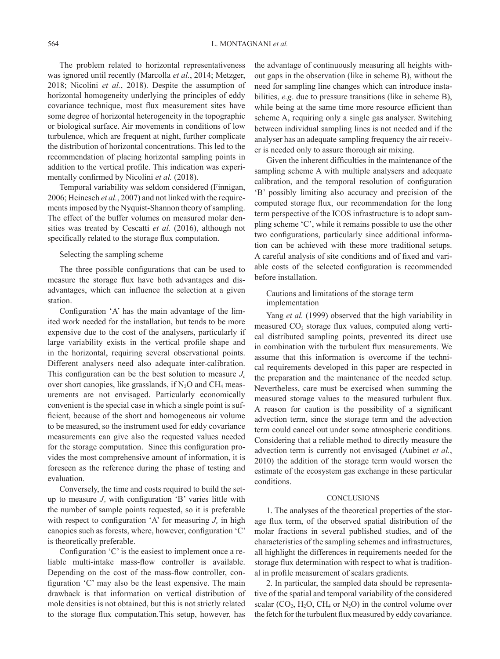The problem related to horizontal representativeness was ignored until recently (Marcolla *et al.*, 2014; Metzger, 2018; Nicolini *et al.*, 2018). Despite the assumption of horizontal homogeneity underlying the principles of eddy covariance technique, most flux measurement sites have some degree of horizontal heterogeneity in the topographic or biological surface. Air movements in conditions of low turbulence, which are frequent at night, further complicate the distribution of horizontal concentrations. This led to the recommendation of placing horizontal sampling points in addition to the vertical profile. This indication was experimentally confirmed by Nicolini *et al.* (2018).

Temporal variability was seldom considered (Finnigan, 2006; Heinesch *et al.*, 2007) and not linked with the requirements imposed by the Nyquist-Shannon theory of sampling. The effect of the buffer volumes on measured molar densities was treated by Cescatti et al. (2016), although not specifically related to the storage flux computation.

# Selecting the sampling scheme

The three possible configurations that can be used to measure the storage flux have both advantages and disadvantages, which can influence the selection at a given station.

Configuration 'A' has the main advantage of the limited work needed for the installation, but tends to be more expensive due to the cost of the analysers, particularly if large variability exists in the vertical profile shape and in the horizontal, requiring several observational points. Different analysers need also adequate inter-calibration. This configuration can be the best solution to measure  $J_c$ over short canopies, like grasslands, if  $N_2O$  and  $CH_4$  measurements are not envisaged. Particularly economically convenient is the special case in which a single point is sufficient, because of the short and homogeneous air volume to be measured, so the instrument used for eddy covariance measurements can give also the requested values needed for the storage computation. Since this configuration provides the most comprehensive amount of information, it is foreseen as the reference during the phase of testing and evaluation.

Conversely, the time and costs required to build the setup to measure  $J_c$  with configuration 'B' varies little with the number of sample points requested, so it is preferable with respect to configuration 'A' for measuring  $J_c$  in high canopies such as forests, where, however, configuration 'C' is theoretically preferable.

Configuration 'C' is the easiest to implement once a reliable multi-intake mass-flow controller is available. Depending on the cost of the mass-flow controller, configuration 'C' may also be the least expensive. The main drawback is that information on vertical distribution of mole densities is not obtained, but this is not strictly related to the storage flux computation.This setup, however, has

the advantage of continuously measuring all heights without gaps in the observation (like in scheme B), without the need for sampling line changes which can introduce instabilities, *e.g*. due to pressure transitions (like in scheme B), while being at the same time more resource efficient than scheme A, requiring only a single gas analyser. Switching between individual sampling lines is not needed and if the analyser has an adequate sampling frequency the air receiver is needed only to assure thorough air mixing.

Given the inherent difficulties in the maintenance of the sampling scheme A with multiple analysers and adequate calibration, and the temporal resolution of configuration 'B' possibly limiting also accuracy and precision of the computed storage flux, our recommendation for the long term perspective of the ICOS infrastructure is to adopt sampling scheme 'C', while it remains possible to use the other two configurations, particularly since additional information can be achieved with these more traditional setups. A careful analysis of site conditions and of fixed and variable costs of the selected configuration is recommended before installation.

# Cautions and limitations of the storage term implementation

Yang *et al.* (1999) observed that the high variability in measured  $CO<sub>2</sub>$  storage flux values, computed along vertical distributed sampling points, prevented its direct use in combination with the turbulent flux measurements. We assume that this information is overcome if the technical requirements developed in this paper are respected in the preparation and the maintenance of the needed setup. Nevertheless, care must be exercised when summing the measured storage values to the measured turbulent flux. A reason for caution is the possibility of a significant advection term, since the storage term and the advection term could cancel out under some atmospheric conditions. Considering that a reliable method to directly measure the advection term is currently not envisaged (Aubinet *et al.*, 2010) the addition of the storage term would worsen the estimate of the ecosystem gas exchange in these particular conditions.

#### CONCLUSIONS

1. The analyses of the theoretical properties of the storage flux term, of the observed spatial distribution of the molar fractions in several published studies, and of the characteristics of the sampling schemes and infrastructures, all highlight the differences in requirements needed for the storage flux determination with respect to what is traditional in profile measurement of scalars gradients.

2. In particular, the sampled data should be representative of the spatial and temporal variability of the considered scalar  $(CO_2, H_2O, CH_4$  or  $N_2O$ ) in the control volume over the fetch for the turbulent flux measured by eddy covariance.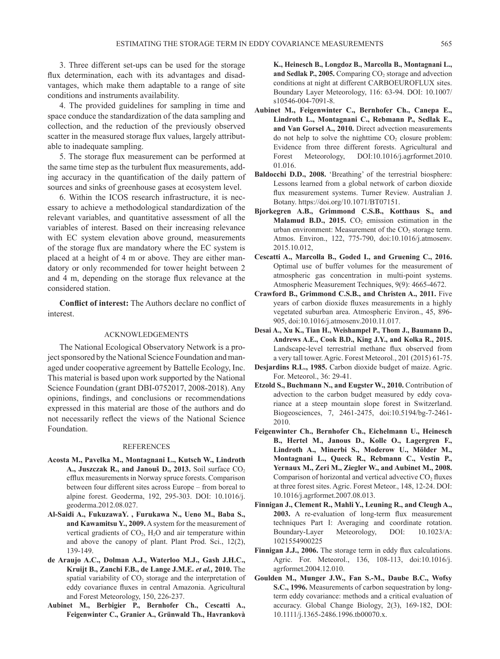3. Three different set-ups can be used for the storage flux determination, each with its advantages and disadvantages, which make them adaptable to a range of site conditions and instruments availability.

4. The provided guidelines for sampling in time and space conduce the standardization of the data sampling and collection, and the reduction of the previously observed scatter in the measured storage flux values, largely attributable to inadequate sampling.

5. The storage flux measurement can be performed at the same time step as the turbulent flux measurements, adding accuracy in the quantification of the daily pattern of sources and sinks of greenhouse gases at ecosystem level.

6. Within the ICOS research infrastructure, it is necessary to achieve a methodological standardization of the relevant variables, and quantitative assessment of all the variables of interest. Based on their increasing relevance with EC system elevation above ground, measurements of the storage flux are mandatory where the EC system is placed at a height of 4 m or above. They are either mandatory or only recommended for tower height between 2 and 4 m, depending on the storage flux relevance at the considered station.

**Conflict of interest:** The Authors declare no conflict of interest.

### ACKNOWLEDGEMENTS

The National Ecological Observatory Network is a project sponsored by the National Science Foundation and managed under cooperative agreement by Battelle Ecology, Inc. This material is based upon work supported by the National Science Foundation (grant DBI-0752017, 2008-2018). Any opinions, findings, and conclusions or recommendations expressed in this material are those of the authors and do not necessarily reflect the views of the National Science Foundation.

#### **REFERENCES**

- **Acosta M., Pavelka M., Montagnani L., Kutsch W., Lindroth**  A., Juszczak R., and Janouš D., 2013. Soil surface CO<sub>2</sub> efflux measurements in Norway spruce forests. Comparison between four different sites across Europe – from boreal to alpine forest. Geoderma, 192, 295-303. DOI: 10.1016/j. geoderma.2012.08.027.
- **Al-Saidi A., FukuzawaY. , Furukawa N., Ueno M., Baba S., and Kawamitsu Y., 2009.** A system for the measurement of vertical gradients of  $CO<sub>2</sub>$ , H<sub>2</sub>O and air temperature within and above the canopy of plant. Plant Prod. Sci., 12(2), 139-149.
- **de Araujo A.C., Dolman A.J., Waterloo M.J., Gash J.H.C., Kruijt B., Zanchi F.B., de Lange J.M.E.** *et al.,* **2010.** The spatial variability of  $CO<sub>2</sub>$  storage and the interpretation of eddy covariance fluxes in central Amazonia. Agricultural and Forest Meteorology, 150, 226-237.
- **Aubinet M., Berbigier P., Bernhofer Ch., Cescatti A., Feigenwinter C., Granier A., Grünwald Th., Havrankovà**

**K., Heinesch B., Longdoz B., Marcolla B., Montagnani L.,**  and Sedlak P., 2005. Comparing CO<sub>2</sub> storage and advection conditions at night at different CARBOEUROFLUX sites. Boundary Layer Meteorology, 116: 63-94. DOI: 10.1007/ s10546-004-7091-8.

- **Aubinet M., Feigenwinter C., Bernhofer Ch., Canepa E., Lindroth L., Montagnani C., Rebmann P., Sedlak E., and Van Gorsel A., 2010.** Direct advection measurements do not help to solve the nighttime  $CO<sub>2</sub>$  closure problem: Evidence from three different forests. Agricultural and Forest Meteorology, DOI:10.1016/j.agrformet.2010. 01.016.
- **Baldocchi D.D., 2008.** 'Breathing' of the terrestrial biosphere: Lessons learned from a global network of carbon dioxide flux measurement systems. Turner Review. Australian J. Botany. https://doi.org/10.1071/BT07151.
- **Bjorkegren A.B., Grimmond C.S.B., Kotthaus S., and Malamud B.D., 2015.**  $CO<sub>2</sub>$  emission estimation in the urban environment: Measurement of the  $CO<sub>2</sub>$  storage term. Atmos. Environ., 122, 775-790, doi:10.1016/j.atmosenv. 2015.10.012,
- **Cescatti A., Marcolla B., Goded I., and Gruening C., 2016.** Optimal use of buffer volumes for the measurement of atmospheric gas concentration in multi-point systems. Atmospheric Measurement Techniques, 9(9): 4665-4672.
- **Crawford B., Grimmond C.S.B., and Christen A., 2011.** Five years of carbon dioxide fluxes measurements in a highly vegetated suburban area. Atmospheric Environ., 45, 896- 905, doi:10.1016/j.atmosenv.2010.11.017.
- **Desai A., Xu K., Tian H., Weishampel P., Thom J., Baumann D., Andrews A.E., Cook B.D., King J.Y., and Kolka R., 2015.**  Landscape-level terrestrial methane flux observed from a very tall tower. Agric. Forest Meteorol., 201 (2015) 61-75.
- **Desjardins R.L., 1985.** Carbon dioxide budget of maize. Agric. For. Meteorol., 36: 29-41.
- **Etzold S., Buchmann N., and Eugster W., 2010.** Contribution of advection to the carbon budget measured by eddy covariance at a steep mountain slope forest in Switzerland. Biogeosciences, 7, 2461-2475, doi:10.5194/bg-7-2461- 2010.
- **Feigenwinter Ch., Bernhofer Ch., Eichelmann U., Heinesch B., Hertel M., Janous D., Kolle O., Lagergren F., Lindroth A., Minerbi S., Moderow U., Mölder M., Montagnani L., Queck R., Rebmann C., Vestin P., Yernaux M., Zeri M., Ziegler W., and Aubinet M., 2008.** Comparison of horizontal and vertical advective  $CO<sub>2</sub>$  fluxes at three forest sites. Agric. Forest Meteor., 148, 12-24. DOI: 10.1016/j.agrformet.2007.08.013.
- **Finnigan J., Clement R., Mahli Y., Leuning R., and Cleugh A., 2003.** A re-evaluation of long-term flux measurement techniques Part I: Averaging and coordinate rotation. Boundary-Layer Meteorology, DOI: 10.1023/A: 1021554900225
- **Finnigan J.J., 2006.** The storage term in eddy flux calculations. Agric. For. Meteorol., 136, 108-113, doi:10.1016/j. agrformet.2004.12.010.
- **Goulden M., Munger J.W., Fan S.-M., Daube B.C., Wofsy S.C., 1996.** Measurements of carbon sequestration by longterm eddy covariance: methods and a critical evaluation of accuracy. Global Change Biology, 2(3), 169-182, DOI: 10.1111/j.1365-2486.1996.tb00070.x.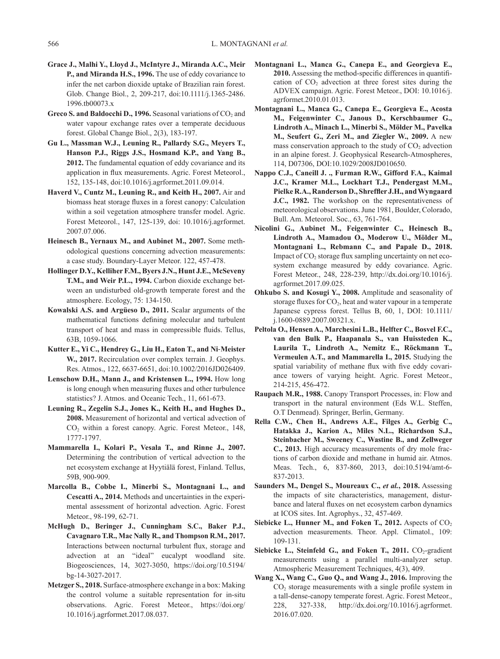- **Grace J., Malhi Y., Lloyd J., McIntyre J., Miranda A.C., Meir P., and Miranda H.S., 1996.** The use of eddy covariance to infer the net carbon dioxide uptake of Brazilian rain forest. Glob. Change Biol., 2, 209-217, doi:10.1111/j.1365-2486. 1996.tb00073.x
- **Greco S. and Baldocchi D., 1996.** Seasonal variations of CO<sub>2</sub> and water vapour exchange rates over a temperate deciduous forest. Global Change Biol., 2(3), 183-197.
- **Gu L., Massman W.J., Leuning R., Pallardy S.G., Meyers T., Hanson P.J., Riggs J.S., Hosmand K.P., and Yang B., 2012.** The fundamental equation of eddy covariance and its application in flux measurements. Agric. Forest Meteorol., 152, 135-148, doi:10.1016/j.agrformet.2011.09.014.
- **Haverd V., Cuntz M., Leuning R., and Keith H., 2007.** Air and biomass heat storage fluxes in a forest canopy: Calculation within a soil vegetation atmosphere transfer model. Agric. Forest Meteorol., 147, 125-139, doi: 10.1016/j.agrformet. 2007.07.006.
- **Heinesch B., Yernaux M., and Aubinet M., 2007.** Some methodological questions concerning advection measurements: a case study. Boundary-Layer Meteor. 122, 457-478.
- **Hollinger D.Y., Kelliher F.M., Byers J.N., Hunt J.E., McSeveny T.M., and Weir P.L., 1994.** Carbon dioxide exchange between an undisturbed old-growth temperate forest and the atmosphere. Ecology, 75: 134-150.
- **Kowalski A.S. and Argüeso D., 2011.** Scalar arguments of the mathematical functions defining molecular and turbulent transport of heat and mass in compressible fluids. Tellus, 63B, 1059-1066.
- **Kutter E., Yi C., Hendrey G., Liu H., Eaton T., and Ni**-**Meister W., 2017.** Recirculation over complex terrain. J. Geophys. Res. Atmos., 122, 6637-6651, doi:10.1002/2016JD026409.
- **Lenschow D.H., Mann J., and Kristensen L., 1994.** How long is long enough when measuring fluxes and other turbulence statistics? J. Atmos. and Oceanic Tech., 11, 661-673.
- **Leuning R., Zegelin S.J., Jones K., Keith H., and Hughes D., 2008.** Measurement of horizontal and vertical advection of CO<sub>2</sub> within a forest canopy. Agric. Forest Meteor., 148, 1777-1797.
- **Mammarella I., Kolari P., Vesala T., and Rinne J., 2007.** Determining the contribution of vertical advection to the net ecosystem exchange at Hyytiälä forest, Finland. Tellus, 59B, 900-909.
- **Marcolla B., Cobbe I., Minerbi S., Montagnani L., and Cescatti A., 2014.** Methods and uncertainties in the experimental assessment of horizontal advection. Agric. Forest Meteor., 98-199, 62-71.
- **McHugh D., Beringer J., Cunningham S.C., Baker P.J., Cavagnaro T.R., Mac Nally R., and Thompson R.M., 2017.** Interactions between nocturnal turbulent flux, storage and advection at an "ideal" eucalypt woodland site. Biogeosciences, 14, 3027-3050, https://doi.org/10.5194/ bg-14-3027-2017.
- **Metzger S., 2018.** Surface-atmosphere exchange in a box: Making the control volume a suitable representation for in-situ observations. Agric. Forest Meteor., https://doi.org/ 10.1016/j.agrformet.2017.08.037.
- **Montagnani L., Manca G., Canepa E., and Georgieva E., 2010.** Assessing the method-specific differences in quantification of  $CO<sub>2</sub>$  advection at three forest sites during the ADVEX campaign. Agric. Forest Meteor., DOI: 10.1016/j. agrformet.2010.01.013.
- **Montagnani L., Manca G., Canepa E., Georgieva E., Acosta M., Feigenwinter C., Janous D., Kerschbaumer G., Lindroth A., Minach L., Minerbi S., Mölder M., Pavelka M., Seufert G., Zeri M., and Ziegler W., 2009.** A new mass conservation approach to the study of  $CO<sub>2</sub>$  advection in an alpine forest. J. Geophysical Research-Atmospheres, 114, D07306, DOI:10.1029/2008JD010650.
- **Nappo C.J., Caneill J. ., Furman R.W., Gifford F.A., Kaimal J.C., Kramer M.L., Lockhart T.J., Pendergast M.M., Pielke R.A., Randerson D., Shreffler J.H., and Wyngaard J.C., 1982.** The workshop on the representativeness of meteorological observations. June 1981, Boulder, Colorado, Bull. Am. Meteorol. Soc., 63, 761-764.
- **Nicolini G., Aubinet M., Feigenwinter C., Heinesch B., Lindroth A., Mamadou O., Moderow U., Mölder M., Montagnani L., Rebmann C., and Papale D., 2018.** Impact of CO<sub>2</sub> storage flux sampling uncertainty on net ecosystem exchange measured by eddy covariance. Agric. Forest Meteor., 248, 228-239, http://dx.doi.org/10.1016/j. agrformet.2017.09.025.
- **Ohkubo S. and Kosugi Y., 2008.** Amplitude and seasonality of storage fluxes for  $CO<sub>2</sub>$ , heat and water vapour in a temperate Japanese cypress forest. Tellus B, 60, 1, DOI: 10.1111/ j.1600-0889.2007.00321.x.
- **Peltola O., Hensen A., Marchesini L.B., Helfter C., Bosvel F.C., van den Bulk P., Haapanala S., van Huissteden K., Laurila T., Lindroth A., Nemitz E., Röckmann T., Vermeulen A.T., and Mammarella I., 2015.** Studying the spatial variability of methane flux with five eddy covariance towers of varying height. Agric. Forest Meteor., 214-215, 456-472.
- **Raupach M.R., 1988.** Canopy Transport Processes, in: Flow and transport in the natural environment (Eds W.L. Steffen, O.T Denmead). Springer, Berlin, Germany.
- **Rella C.W., Chen H., Andrews A.E., Filges A., Gerbig C., Hatakka J., Karion A., Miles N.L., Richardson S.J., Steinbacher M., Sweeney C., Wastine B., and Zellweger C., 2013.** High accuracy measurements of dry mole fractions of carbon dioxide and methane in humid air. Atmos. Meas. Tech., 6, 837-860, 2013, doi:10.5194/amt-6- 837-2013.
- **Saunders M., Dengel S., Moureaux C.,** *et al.***, 2018.** Assessing the impacts of site characteristics, management, disturbance and lateral fluxes on net ecosystem carbon dynamics at ICOS sites. Int. Agrophys., 32, 457-469.
- **Siebicke L., Hunner M., and Foken T., 2012.** Aspects of  $CO<sub>2</sub>$ advection measurements. Theor. Appl. Climatol., 109: 109-131.
- Siebicke L., Steinfeld G., and Foken T., 2011. CO<sub>2</sub>-gradient measurements using a parallel multi-analyzer setup. Atmospheric Measurement Techniques, 4(3), 409.
- **Wang X., Wang C., Guo Q., and Wang J., 2016.** Improving the  $CO<sub>2</sub>$  storage measurements with a single profile system in a tall-dense-canopy temperate forest. Agric. Forest Meteor., 228, 327-338, http://dx.doi.org/10.1016/j.agrformet. 2016.07.020.